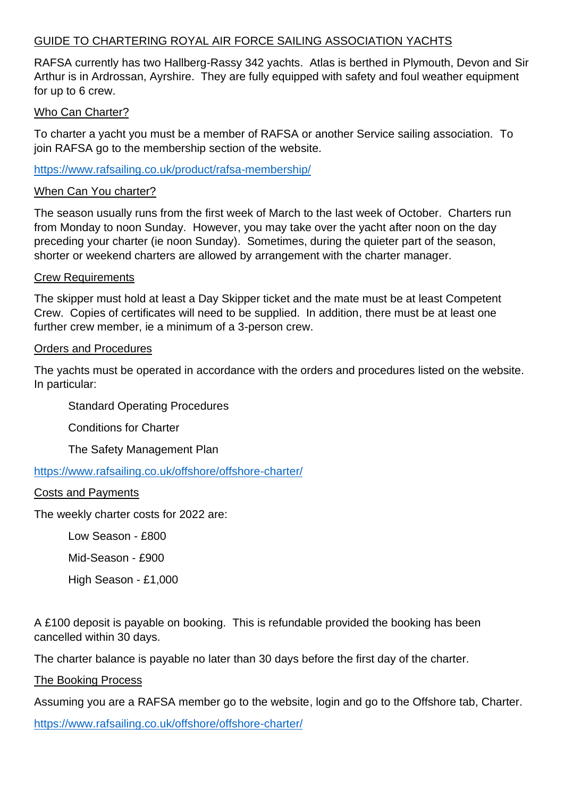# GUIDE TO CHARTERING ROYAL AIR FORCE SAILING ASSOCIATION YACHTS

RAFSA currently has two Hallberg-Rassy 342 yachts. Atlas is berthed in Plymouth, Devon and Sir Arthur is in Ardrossan, Ayrshire. They are fully equipped with safety and foul weather equipment for up to 6 crew.

# Who Can Charter?

To charter a yacht you must be a member of RAFSA or another Service sailing association. To join RAFSA go to the membership section of the website.

<https://www.rafsailing.co.uk/product/rafsa-membership/>

# When Can You charter?

The season usually runs from the first week of March to the last week of October. Charters run from Monday to noon Sunday. However, you may take over the yacht after noon on the day preceding your charter (ie noon Sunday). Sometimes, during the quieter part of the season, shorter or weekend charters are allowed by arrangement with the charter manager.

# Crew Requirements

The skipper must hold at least a Day Skipper ticket and the mate must be at least Competent Crew. Copies of certificates will need to be supplied. In addition, there must be at least one further crew member, ie a minimum of a 3-person crew.

### Orders and Procedures

The yachts must be operated in accordance with the orders and procedures listed on the website. In particular:

Standard Operating Procedures

Conditions for Charter

The Safety Management Plan

<https://www.rafsailing.co.uk/offshore/offshore-charter/>

# Costs and Payments

The weekly charter costs for 2022 are:

Low Season - £800

Mid-Season - £900

High Season - £1,000

A £100 deposit is payable on booking. This is refundable provided the booking has been cancelled within 30 days.

The charter balance is payable no later than 30 days before the first day of the charter.

The Booking Process

Assuming you are a RAFSA member go to the website, login and go to the Offshore tab, Charter.

<https://www.rafsailing.co.uk/offshore/offshore-charter/>